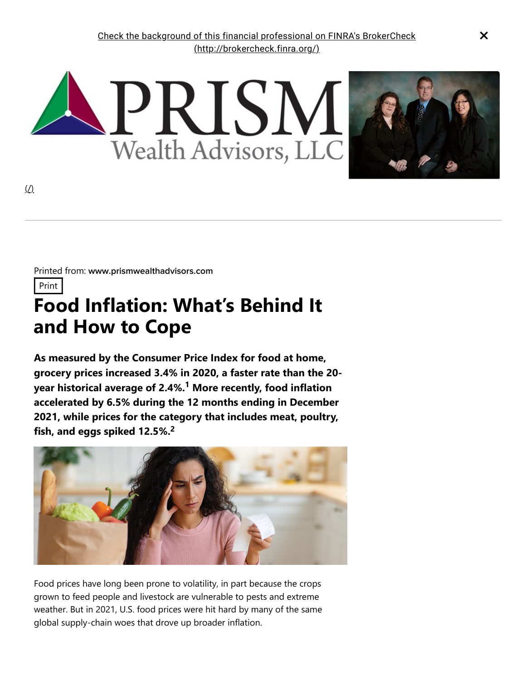

Printed from: www.prismwealthadvisors.com

Print

## **Food Inflation: What's Behind It and How to Cope**

**As measured by the Consumer Price Index for food at home, grocery prices increased 3.4% in 2020, a faster rate than the 20 year historical average of 2.4%. More recently, food inflation 1 accelerated by 6.5% during the 12 months ending in December 2021, while prices for the category that includes meat, poultry, fish, and eggs spiked 12.5%. 2**



Food prices have long been prone to volatility, in part because the crops grown to feed people and livestock are vulnerable to pests and extreme weather. But in 2021, U.S. food prices were hit hard by many of the same global supply-chain woes that drove up broader inflation.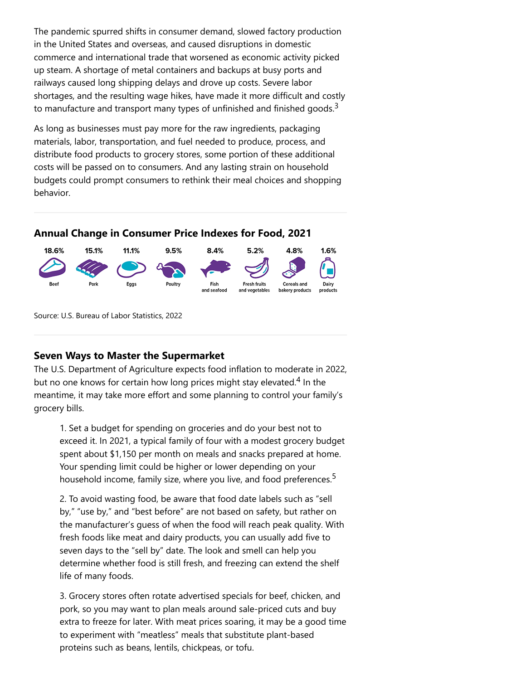The pandemic spurred shifts in consumer demand, slowed factory production in the United States and overseas, and caused disruptions in domestic commerce and international trade that worsened as economic activity picked up steam. A shortage of metal containers and backups at busy ports and railways caused long shipping delays and drove up costs. Severe labor shortages, and the resulting wage hikes, have made it more difficult and costly to manufacture and transport many types of unfinished and finished goods.<sup>3</sup>

As long as businesses must pay more for the raw ingredients, packaging materials, labor, transportation, and fuel needed to produce, process, and distribute food products to grocery stores, some portion of these additional costs will be passed on to consumers. And any lasting strain on household budgets could prompt consumers to rethink their meal choices and shopping behavior.

## **Annual Change in Consumer Price Indexes for Food, 2021**



Source: U.S. Bureau of Labor Statistics, 2022

## **Seven Ways to Master the Supermarket**

The U.S. Department of Agriculture expects food inflation to moderate in 2022, but no one knows for certain how long prices might stay elevated.<sup>4</sup> In the meantime, it may take more effort and some planning to control your family's grocery bills.

1. Set a budget for spending on groceries and do your best not to exceed it. In 2021, a typical family of four with a modest grocery budget spent about \$1,150 per month on meals and snacks prepared at home. Your spending limit could be higher or lower depending on your household income, family size, where you live, and food preferences.<sup>5</sup>

2. To avoid wasting food, be aware that food date labels such as "sell by," "use by," and "best before" are not based on safety, but rather on the manufacturer's guess of when the food will reach peak quality. With fresh foods like meat and dairy products, you can usually add five to seven days to the "sell by" date. The look and smell can help you determine whether food is still fresh, and freezing can extend the shelf life of many foods.

3. Grocery stores often rotate advertised specials for beef, chicken, and pork, so you may want to plan meals around sale-priced cuts and buy extra to freeze for later. With meat prices soaring, it may be a good time to experiment with "meatless" meals that substitute plant-based proteins such as beans, lentils, chickpeas, or tofu.